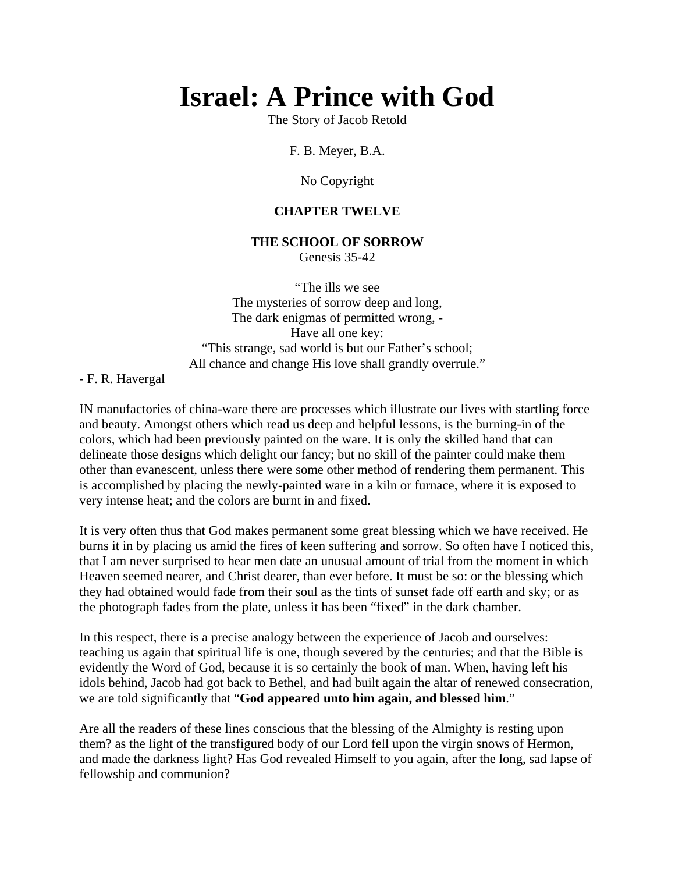# **Israel: A Prince with God**

F. B. Meyer, B.A.

No Copyright

# **CHAPTER TWELVE**

# **THE SCHOOL OF SORROW**

Genesis 35-42

"The ills we see The mysteries of sorrow deep and long, The dark enigmas of permitted wrong, - Have all one key: "This strange, sad world is but our Father's school; All chance and change His love shall grandly overrule."

## - F. R. Havergal

IN manufactories of china-ware there are processes which illustrate our lives with startling force and beauty. Amongst others which read us deep and helpful lessons, is the burning-in of the colors, which had been previously painted on the ware. It is only the skilled hand that can delineate those designs which delight our fancy; but no skill of the painter could make them other than evanescent, unless there were some other method of rendering them permanent. This is accomplished by placing the newly-painted ware in a kiln or furnace, where it is exposed to very intense heat; and the colors are burnt in and fixed.

It is very often thus that God makes permanent some great blessing which we have received. He burns it in by placing us amid the fires of keen suffering and sorrow. So often have I noticed this, that I am never surprised to hear men date an unusual amount of trial from the moment in which Heaven seemed nearer, and Christ dearer, than ever before. It must be so: or the blessing which they had obtained would fade from their soul as the tints of sunset fade off earth and sky; or as the photograph fades from the plate, unless it has been "fixed" in the dark chamber.

In this respect, there is a precise analogy between the experience of Jacob and ourselves: teaching us again that spiritual life is one, though severed by the centuries; and that the Bible is evidently the Word of God, because it is so certainly the book of man. When, having left his idols behind, Jacob had got back to Bethel, and had built again the altar of renewed consecration, we are told significantly that "**God appeared unto him again, and blessed him**."

Are all the readers of these lines conscious that the blessing of the Almighty is resting upon them? as the light of the transfigured body of our Lord fell upon the virgin snows of Hermon, and made the darkness light? Has God revealed Himself to you again, after the long, sad lapse of fellowship and communion?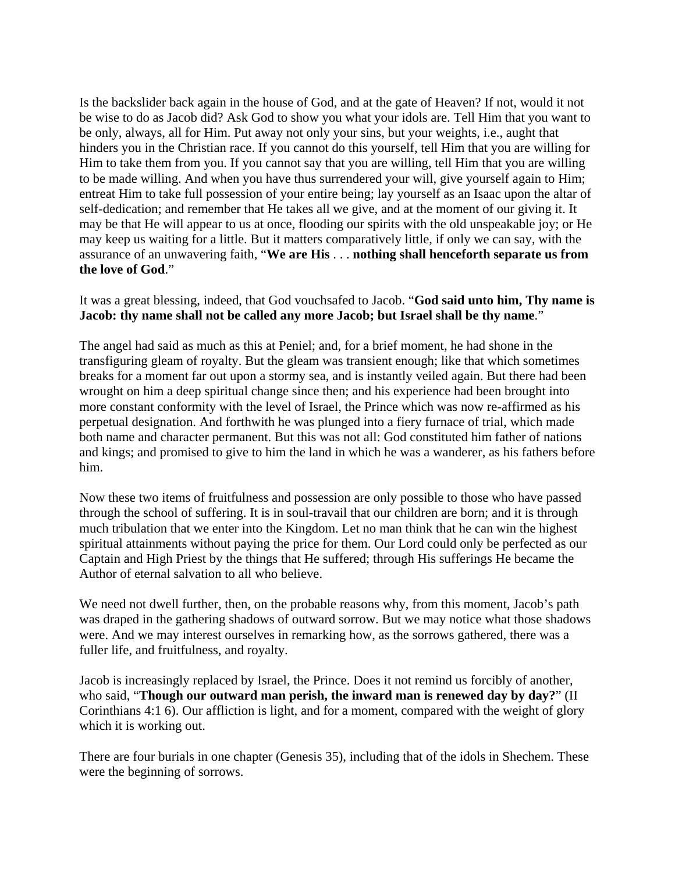Is the backslider back again in the house of God, and at the gate of Heaven? If not, would it not be wise to do as Jacob did? Ask God to show you what your idols are. Tell Him that you want to be only, always, all for Him. Put away not only your sins, but your weights, i.e., aught that hinders you in the Christian race. If you cannot do this yourself, tell Him that you are willing for Him to take them from you. If you cannot say that you are willing, tell Him that you are willing to be made willing. And when you have thus surrendered your will, give yourself again to Him; entreat Him to take full possession of your entire being; lay yourself as an Isaac upon the altar of self-dedication; and remember that He takes all we give, and at the moment of our giving it. It may be that He will appear to us at once, flooding our spirits with the old unspeakable joy; or He may keep us waiting for a little. But it matters comparatively little, if only we can say, with the assurance of an unwavering faith, "**We are His** . . . **nothing shall henceforth separate us from the love of God**."

#### It was a great blessing, indeed, that God vouchsafed to Jacob. "**God said unto him, Thy name is Jacob: thy name shall not be called any more Jacob; but Israel shall be thy name**."

The angel had said as much as this at Peniel; and, for a brief moment, he had shone in the transfiguring gleam of royalty. But the gleam was transient enough; like that which sometimes breaks for a moment far out upon a stormy sea, and is instantly veiled again. But there had been wrought on him a deep spiritual change since then; and his experience had been brought into more constant conformity with the level of Israel, the Prince which was now re-affirmed as his perpetual designation. And forthwith he was plunged into a fiery furnace of trial, which made both name and character permanent. But this was not all: God constituted him father of nations and kings; and promised to give to him the land in which he was a wanderer, as his fathers before him.

Now these two items of fruitfulness and possession are only possible to those who have passed through the school of suffering. It is in soul-travail that our children are born; and it is through much tribulation that we enter into the Kingdom. Let no man think that he can win the highest spiritual attainments without paying the price for them. Our Lord could only be perfected as our Captain and High Priest by the things that He suffered; through His sufferings He became the Author of eternal salvation to all who believe.

We need not dwell further, then, on the probable reasons why, from this moment, Jacob's path was draped in the gathering shadows of outward sorrow. But we may notice what those shadows were. And we may interest ourselves in remarking how, as the sorrows gathered, there was a fuller life, and fruitfulness, and royalty.

Jacob is increasingly replaced by Israel, the Prince. Does it not remind us forcibly of another, who said, "**Though our outward man perish, the inward man is renewed day by day?**" (II Corinthians 4:1 6). Our affliction is light, and for a moment, compared with the weight of glory which it is working out.

There are four burials in one chapter (Genesis 35), including that of the idols in Shechem. These were the beginning of sorrows.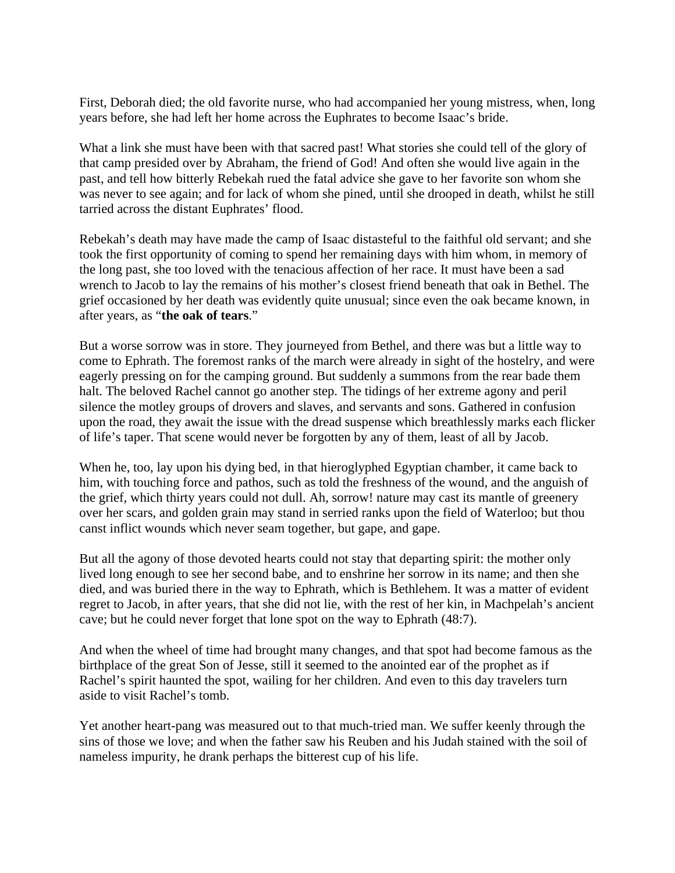First, Deborah died; the old favorite nurse, who had accompanied her young mistress, when, long years before, she had left her home across the Euphrates to become Isaac's bride.

What a link she must have been with that sacred past! What stories she could tell of the glory of that camp presided over by Abraham, the friend of God! And often she would live again in the past, and tell how bitterly Rebekah rued the fatal advice she gave to her favorite son whom she was never to see again; and for lack of whom she pined, until she drooped in death, whilst he still tarried across the distant Euphrates' flood.

Rebekah's death may have made the camp of Isaac distasteful to the faithful old servant; and she took the first opportunity of coming to spend her remaining days with him whom, in memory of the long past, she too loved with the tenacious affection of her race. It must have been a sad wrench to Jacob to lay the remains of his mother's closest friend beneath that oak in Bethel. The grief occasioned by her death was evidently quite unusual; since even the oak became known, in after years, as "**the oak of tears**."

But a worse sorrow was in store. They journeyed from Bethel, and there was but a little way to come to Ephrath. The foremost ranks of the march were already in sight of the hostelry, and were eagerly pressing on for the camping ground. But suddenly a summons from the rear bade them halt. The beloved Rachel cannot go another step. The tidings of her extreme agony and peril silence the motley groups of drovers and slaves, and servants and sons. Gathered in confusion upon the road, they await the issue with the dread suspense which breathlessly marks each flicker of life's taper. That scene would never be forgotten by any of them, least of all by Jacob.

When he, too, lay upon his dying bed, in that hieroglyphed Egyptian chamber, it came back to him, with touching force and pathos, such as told the freshness of the wound, and the anguish of the grief, which thirty years could not dull. Ah, sorrow! nature may cast its mantle of greenery over her scars, and golden grain may stand in serried ranks upon the field of Waterloo; but thou canst inflict wounds which never seam together, but gape, and gape.

But all the agony of those devoted hearts could not stay that departing spirit: the mother only lived long enough to see her second babe, and to enshrine her sorrow in its name; and then she died, and was buried there in the way to Ephrath, which is Bethlehem. It was a matter of evident regret to Jacob, in after years, that she did not lie, with the rest of her kin, in Machpelah's ancient cave; but he could never forget that lone spot on the way to Ephrath (48:7).

And when the wheel of time had brought many changes, and that spot had become famous as the birthplace of the great Son of Jesse, still it seemed to the anointed ear of the prophet as if Rachel's spirit haunted the spot, wailing for her children. And even to this day travelers turn aside to visit Rachel's tomb.

Yet another heart-pang was measured out to that much-tried man. We suffer keenly through the sins of those we love; and when the father saw his Reuben and his Judah stained with the soil of nameless impurity, he drank perhaps the bitterest cup of his life.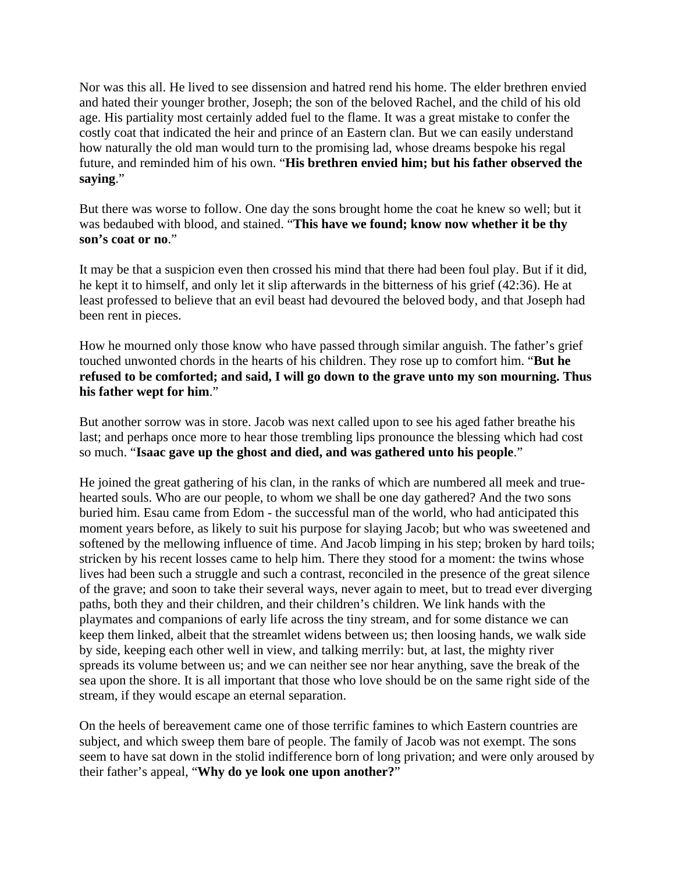Nor was this all. He lived to see dissension and hatred rend his home. The elder brethren envied and hated their younger brother, Joseph; the son of the beloved Rachel, and the child of his old age. His partiality most certainly added fuel to the flame. It was a great mistake to confer the costly coat that indicated the heir and prince of an Eastern clan. But we can easily understand how naturally the old man would turn to the promising lad, whose dreams bespoke his regal future, and reminded him of his own. "**His brethren envied him; but his father observed the saying**."

But there was worse to follow. One day the sons brought home the coat he knew so well; but it was bedaubed with blood, and stained. "**This have we found; know now whether it be thy son's coat or no**."

It may be that a suspicion even then crossed his mind that there had been foul play. But if it did, he kept it to himself, and only let it slip afterwards in the bitterness of his grief (42:36). He at least professed to believe that an evil beast had devoured the beloved body, and that Joseph had been rent in pieces.

How he mourned only those know who have passed through similar anguish. The father's grief touched unwonted chords in the hearts of his children. They rose up to comfort him. "**But he refused to be comforted; and said, I will go down to the grave unto my son mourning. Thus his father wept for him**."

But another sorrow was in store. Jacob was next called upon to see his aged father breathe his last; and perhaps once more to hear those trembling lips pronounce the blessing which had cost so much. "**Isaac gave up the ghost and died, and was gathered unto his people**."

He joined the great gathering of his clan, in the ranks of which are numbered all meek and truehearted souls. Who are our people, to whom we shall be one day gathered? And the two sons buried him. Esau came from Edom - the successful man of the world, who had anticipated this moment years before, as likely to suit his purpose for slaying Jacob; but who was sweetened and softened by the mellowing influence of time. And Jacob limping in his step; broken by hard toils; stricken by his recent losses came to help him. There they stood for a moment: the twins whose lives had been such a struggle and such a contrast, reconciled in the presence of the great silence of the grave; and soon to take their several ways, never again to meet, but to tread ever diverging paths, both they and their children, and their children's children. We link hands with the playmates and companions of early life across the tiny stream, and for some distance we can keep them linked, albeit that the streamlet widens between us; then loosing hands, we walk side by side, keeping each other well in view, and talking merrily: but, at last, the mighty river spreads its volume between us; and we can neither see nor hear anything, save the break of the sea upon the shore. It is all important that those who love should be on the same right side of the stream, if they would escape an eternal separation.

On the heels of bereavement came one of those terrific famines to which Eastern countries are subject, and which sweep them bare of people. The family of Jacob was not exempt. The sons seem to have sat down in the stolid indifference born of long privation; and were only aroused by their father's appeal, "**Why do ye look one upon another?**"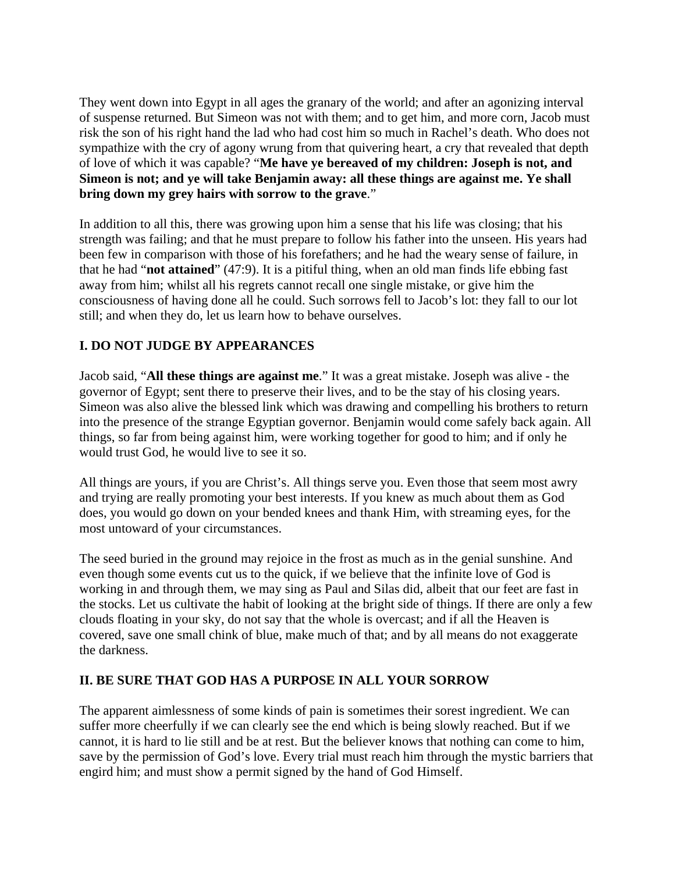They went down into Egypt in all ages the granary of the world; and after an agonizing interval of suspense returned. But Simeon was not with them; and to get him, and more corn, Jacob must risk the son of his right hand the lad who had cost him so much in Rachel's death. Who does not sympathize with the cry of agony wrung from that quivering heart, a cry that revealed that depth of love of which it was capable? "**Me have ye bereaved of my children: Joseph is not, and Simeon is not; and ye will take Benjamin away: all these things are against me. Ye shall bring down my grey hairs with sorrow to the grave**."

In addition to all this, there was growing upon him a sense that his life was closing; that his strength was failing; and that he must prepare to follow his father into the unseen. His years had been few in comparison with those of his forefathers; and he had the weary sense of failure, in that he had "**not attained**" (47:9). It is a pitiful thing, when an old man finds life ebbing fast away from him; whilst all his regrets cannot recall one single mistake, or give him the consciousness of having done all he could. Such sorrows fell to Jacob's lot: they fall to our lot still; and when they do, let us learn how to behave ourselves.

# **I. DO NOT JUDGE BY APPEARANCES**

Jacob said, "**All these things are against me**." It was a great mistake. Joseph was alive - the governor of Egypt; sent there to preserve their lives, and to be the stay of his closing years. Simeon was also alive the blessed link which was drawing and compelling his brothers to return into the presence of the strange Egyptian governor. Benjamin would come safely back again. All things, so far from being against him, were working together for good to him; and if only he would trust God, he would live to see it so.

All things are yours, if you are Christ's. All things serve you. Even those that seem most awry and trying are really promoting your best interests. If you knew as much about them as God does, you would go down on your bended knees and thank Him, with streaming eyes, for the most untoward of your circumstances.

The seed buried in the ground may rejoice in the frost as much as in the genial sunshine. And even though some events cut us to the quick, if we believe that the infinite love of God is working in and through them, we may sing as Paul and Silas did, albeit that our feet are fast in the stocks. Let us cultivate the habit of looking at the bright side of things. If there are only a few clouds floating in your sky, do not say that the whole is overcast; and if all the Heaven is covered, save one small chink of blue, make much of that; and by all means do not exaggerate the darkness.

# **II. BE SURE THAT GOD HAS A PURPOSE IN ALL YOUR SORROW**

The apparent aimlessness of some kinds of pain is sometimes their sorest ingredient. We can suffer more cheerfully if we can clearly see the end which is being slowly reached. But if we cannot, it is hard to lie still and be at rest. But the believer knows that nothing can come to him, save by the permission of God's love. Every trial must reach him through the mystic barriers that engird him; and must show a permit signed by the hand of God Himself.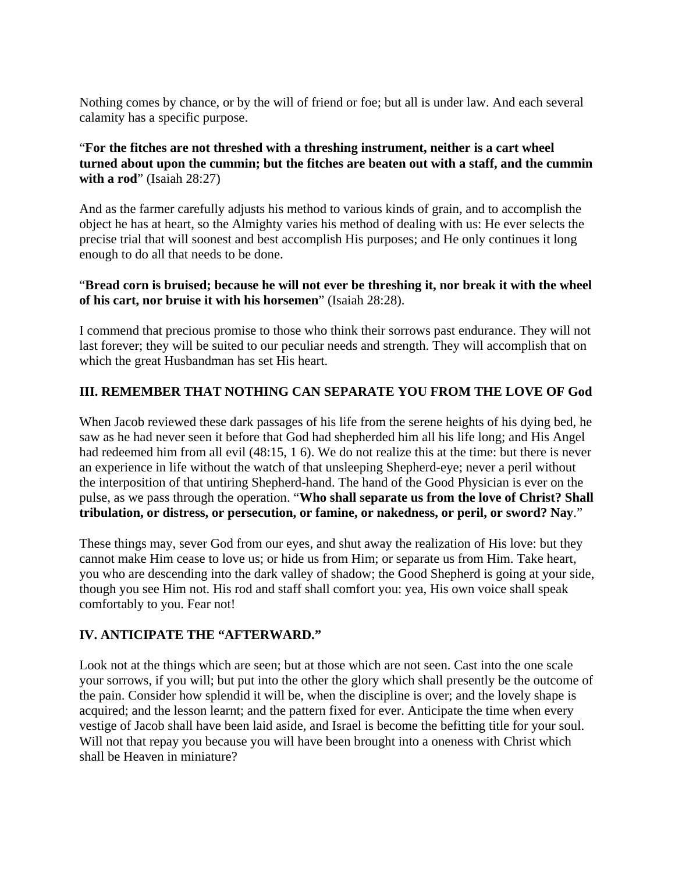Nothing comes by chance, or by the will of friend or foe; but all is under law. And each several calamity has a specific purpose.

## "**For the fitches are not threshed with a threshing instrument, neither is a cart wheel turned about upon the cummin; but the fitches are beaten out with a staff, and the cummin with a rod**" (Isaiah 28:27)

And as the farmer carefully adjusts his method to various kinds of grain, and to accomplish the object he has at heart, so the Almighty varies his method of dealing with us: He ever selects the precise trial that will soonest and best accomplish His purposes; and He only continues it long enough to do all that needs to be done.

#### "**Bread corn is bruised; because he will not ever be threshing it, nor break it with the wheel of his cart, nor bruise it with his horsemen**" (Isaiah 28:28).

I commend that precious promise to those who think their sorrows past endurance. They will not last forever; they will be suited to our peculiar needs and strength. They will accomplish that on which the great Husbandman has set His heart.

# **III. REMEMBER THAT NOTHING CAN SEPARATE YOU FROM THE LOVE OF God**

When Jacob reviewed these dark passages of his life from the serene heights of his dying bed, he saw as he had never seen it before that God had shepherded him all his life long; and His Angel had redeemed him from all evil (48:15, 1 6). We do not realize this at the time: but there is never an experience in life without the watch of that unsleeping Shepherd-eye; never a peril without the interposition of that untiring Shepherd-hand. The hand of the Good Physician is ever on the pulse, as we pass through the operation. "**Who shall separate us from the love of Christ? Shall tribulation, or distress, or persecution, or famine, or nakedness, or peril, or sword? Nay**."

These things may, sever God from our eyes, and shut away the realization of His love: but they cannot make Him cease to love us; or hide us from Him; or separate us from Him. Take heart, you who are descending into the dark valley of shadow; the Good Shepherd is going at your side, though you see Him not. His rod and staff shall comfort you: yea, His own voice shall speak comfortably to you. Fear not!

## **IV. ANTICIPATE THE "AFTERWARD."**

Look not at the things which are seen; but at those which are not seen. Cast into the one scale your sorrows, if you will; but put into the other the glory which shall presently be the outcome of the pain. Consider how splendid it will be, when the discipline is over; and the lovely shape is acquired; and the lesson learnt; and the pattern fixed for ever. Anticipate the time when every vestige of Jacob shall have been laid aside, and Israel is become the befitting title for your soul. Will not that repay you because you will have been brought into a oneness with Christ which shall be Heaven in miniature?